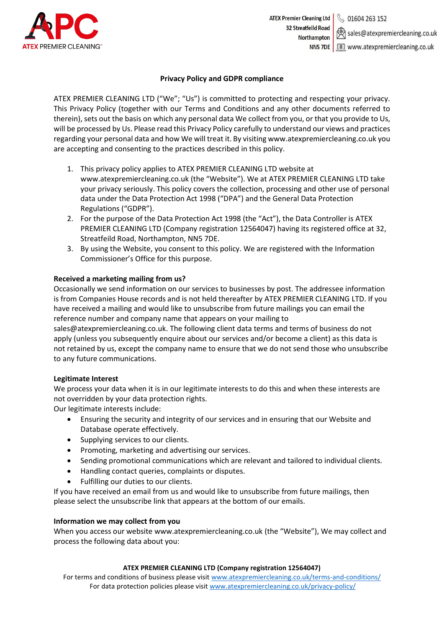

### **Privacy Policy and GDPR compliance**

ATEX PREMIER CLEANING LTD ("We"; "Us") is committed to protecting and respecting your privacy. This Privacy Policy (together with our Terms and Conditions and any other documents referred to therein), sets out the basis on which any personal data We collect from you, or that you provide to Us, will be processed by Us. Please read this Privacy Policy carefully to understand our views and practices regarding your personal data and how We will treat it. By visiting www.atexpremiercleaning.co.uk you are accepting and consenting to the practices described in this policy.

- 1. This privacy policy applies to ATEX PREMIER CLEANING LTD website at www.atexpremiercleaning.co.uk (the "Website"). We at ATEX PREMIER CLEANING LTD take your privacy seriously. This policy covers the collection, processing and other use of personal data under the Data Protection Act 1998 ("DPA") and the General Data Protection Regulations ("GDPR").
- 2. For the purpose of the Data Protection Act 1998 (the "Act"), the Data Controller is ATEX PREMIER CLEANING LTD (Company registration 12564047) having its registered office at 32, Streatfeild Road, Northampton, NN5 7DE.
- 3. By using the Website, you consent to this policy. We are registered with the Information Commissioner's Office for this purpose.

### **Received a marketing mailing from us?**

Occasionally we send information on our services to businesses by post. The addressee information is from Companies House records and is not held thereafter by ATEX PREMIER CLEANING LTD. If you have received a mailing and would like to unsubscribe from future mailings you can email the reference number and company name that appears on your mailing to

sales@atexpremiercleaning.co.uk. The following client data terms and terms of business do not apply (unless you subsequently enquire about our services and/or become a client) as this data is not retained by us, except the company name to ensure that we do not send those who unsubscribe to any future communications.

#### **Legitimate Interest**

We process your data when it is in our legitimate interests to do this and when these interests are not overridden by your data protection rights.

Our legitimate interests include:

- Ensuring the security and integrity of our services and in ensuring that our Website and Database operate effectively.
- Supplying services to our clients.
- Promoting, marketing and advertising our services.
- Sending promotional communications which are relevant and tailored to individual clients.
- Handling contact queries, complaints or disputes.
- Fulfilling our duties to our clients.

If you have received an email from us and would like to unsubscribe from future mailings, then please select the unsubscribe link that appears at the bottom of our emails.

#### **Information we may collect from you**

When you access our website www.atexpremiercleaning.co.uk (the "Website"), We may collect and process the following data about you:

#### **ATEX PREMIER CLEANING LTD (Company registration 12564047)**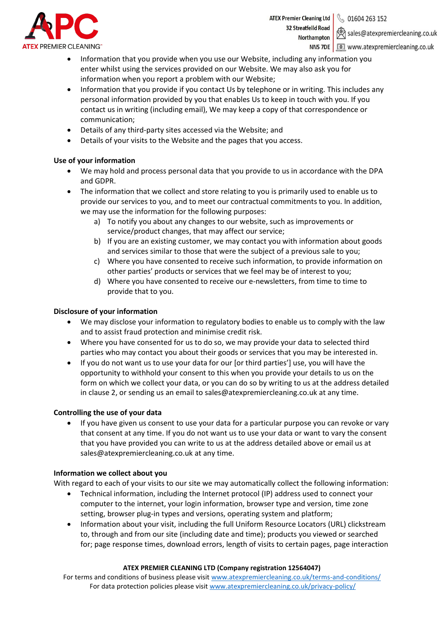

**ATEX Premier Cleaning Ltd** § 01604 263 152 **32 Streatfeild Road** Northampton

sales@atexpremiercleaning.co.uk NN5 7DE | I www.atexpremiercleaning.co.uk

- Information that you provide when you use our Website, including any information you enter whilst using the services provided on our Website. We may also ask you for information when you report a problem with our Website;
- Information that you provide if you contact Us by telephone or in writing. This includes any personal information provided by you that enables Us to keep in touch with you. If you contact us in writing (including email), We may keep a copy of that correspondence or communication;
- Details of any third-party sites accessed via the Website; and
- Details of your visits to the Website and the pages that you access.

# **Use of your information**

- We may hold and process personal data that you provide to us in accordance with the DPA and GDPR.
- The information that we collect and store relating to you is primarily used to enable us to provide our services to you, and to meet our contractual commitments to you. In addition, we may use the information for the following purposes:
	- a) To notify you about any changes to our website, such as improvements or service/product changes, that may affect our service;
	- b) If you are an existing customer, we may contact you with information about goods and services similar to those that were the subject of a previous sale to you;
	- c) Where you have consented to receive such information, to provide information on other parties' products or services that we feel may be of interest to you;
	- d) Where you have consented to receive our e-newsletters, from time to time to provide that to you.

# **Disclosure of your information**

- We may disclose your information to regulatory bodies to enable us to comply with the law and to assist fraud protection and minimise credit risk.
- Where you have consented for us to do so, we may provide your data to selected third parties who may contact you about their goods or services that you may be interested in.
- If you do not want us to use your data for our [or third parties'] use, you will have the opportunity to withhold your consent to this when you provide your details to us on the form on which we collect your data, or you can do so by writing to us at the address detailed in clause 2, or sending us an email to sales@atexpremiercleaning.co.uk at any time.

# **Controlling the use of your data**

• If you have given us consent to use your data for a particular purpose you can revoke or vary that consent at any time. If you do not want us to use your data or want to vary the consent that you have provided you can write to us at the address detailed above or email us at sales@atexpremiercleaning.co.uk at any time.

# **Information we collect about you**

With regard to each of your visits to our site we may automatically collect the following information:

- Technical information, including the Internet protocol (IP) address used to connect your computer to the internet, your login information, browser type and version, time zone setting, browser plug-in types and versions, operating system and platform;
- Information about your visit, including the full Uniform Resource Locators (URL) clickstream to, through and from our site (including date and time); products you viewed or searched for; page response times, download errors, length of visits to certain pages, page interaction

# **ATEX PREMIER CLEANING LTD (Company registration 12564047)**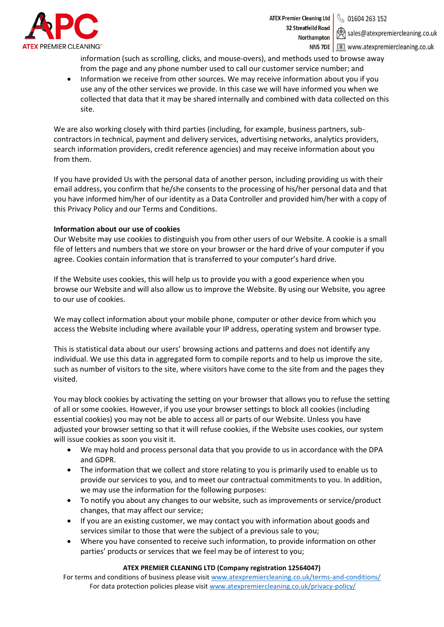

**ATEX Premier Cleaning Ltd** 01604 263 152 **32 Streatfeild Road** Northampton

sales@atexpremiercleaning.co.uk NN5 7DE | I www.atexpremiercleaning.co.uk

information (such as scrolling, clicks, and mouse-overs), and methods used to browse away from the page and any phone number used to call our customer service number; and

• Information we receive from other sources. We may receive information about you if you use any of the other services we provide. In this case we will have informed you when we collected that data that it may be shared internally and combined with data collected on this site.

We are also working closely with third parties (including, for example, business partners, subcontractors in technical, payment and delivery services, advertising networks, analytics providers, search information providers, credit reference agencies) and may receive information about you from them.

If you have provided Us with the personal data of another person, including providing us with their email address, you confirm that he/she consents to the processing of his/her personal data and that you have informed him/her of our identity as a Data Controller and provided him/her with a copy of this Privacy Policy and our Terms and Conditions.

### **Information about our use of cookies**

Our Website may use cookies to distinguish you from other users of our Website. A cookie is a small file of letters and numbers that we store on your browser or the hard drive of your computer if you agree. Cookies contain information that is transferred to your computer's hard drive.

If the Website uses cookies, this will help us to provide you with a good experience when you browse our Website and will also allow us to improve the Website. By using our Website, you agree to our use of cookies.

We may collect information about your mobile phone, computer or other device from which you access the Website including where available your IP address, operating system and browser type.

This is statistical data about our users' browsing actions and patterns and does not identify any individual. We use this data in aggregated form to compile reports and to help us improve the site, such as number of visitors to the site, where visitors have come to the site from and the pages they visited.

You may block cookies by activating the setting on your browser that allows you to refuse the setting of all or some cookies. However, if you use your browser settings to block all cookies (including essential cookies) you may not be able to access all or parts of our Website. Unless you have adjusted your browser setting so that it will refuse cookies, if the Website uses cookies, our system will issue cookies as soon you visit it.

- We may hold and process personal data that you provide to us in accordance with the DPA and GDPR.
- The information that we collect and store relating to you is primarily used to enable us to provide our services to you, and to meet our contractual commitments to you. In addition, we may use the information for the following purposes:
- To notify you about any changes to our website, such as improvements or service/product changes, that may affect our service;
- If you are an existing customer, we may contact you with information about goods and services similar to those that were the subject of a previous sale to you;
- Where you have consented to receive such information, to provide information on other parties' products or services that we feel may be of interest to you;

#### **ATEX PREMIER CLEANING LTD (Company registration 12564047)**

For terms and conditions of business please visit [www.atexpremiercleaning.co.uk/terms-and-conditions/](http://www.atexpremiercleaning.co.uk/terms-and-conditions/) For data protection policies please visit [www.atexpremiercleaning.co.uk/privacy-policy/](http://www.atexpremiercleaning.co.uk/privacy-policy/)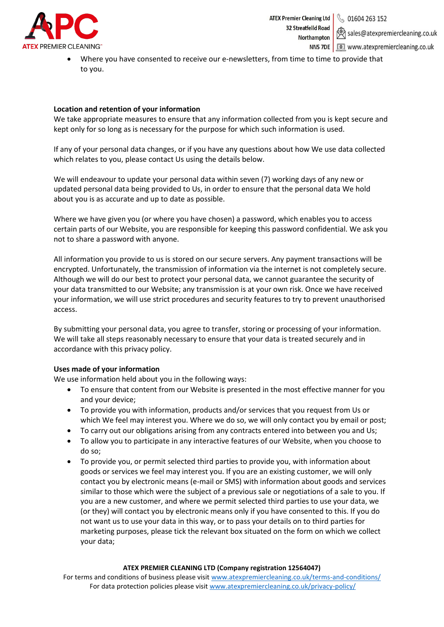

sales@atexpremiercleaning.co.uk NN5 7DE | I www.atexpremiercleaning.co.uk

Where you have consented to receive our e-newsletters, from time to time to provide that to you.

## **Location and retention of your information**

We take appropriate measures to ensure that any information collected from you is kept secure and kept only for so long as is necessary for the purpose for which such information is used.

If any of your personal data changes, or if you have any questions about how We use data collected which relates to you, please contact Us using the details below.

We will endeavour to update your personal data within seven (7) working days of any new or updated personal data being provided to Us, in order to ensure that the personal data We hold about you is as accurate and up to date as possible.

Where we have given you (or where you have chosen) a password, which enables you to access certain parts of our Website, you are responsible for keeping this password confidential. We ask you not to share a password with anyone.

All information you provide to us is stored on our secure servers. Any payment transactions will be encrypted. Unfortunately, the transmission of information via the internet is not completely secure. Although we will do our best to protect your personal data, we cannot guarantee the security of your data transmitted to our Website; any transmission is at your own risk. Once we have received your information, we will use strict procedures and security features to try to prevent unauthorised access.

By submitting your personal data, you agree to transfer, storing or processing of your information. We will take all steps reasonably necessary to ensure that your data is treated securely and in accordance with this privacy policy.

# **Uses made of your information**

We use information held about you in the following ways:

- To ensure that content from our Website is presented in the most effective manner for you and your device;
- To provide you with information, products and/or services that you request from Us or which We feel may interest you. Where we do so, we will only contact you by email or post;
- To carry out our obligations arising from any contracts entered into between you and Us;
- To allow you to participate in any interactive features of our Website, when you choose to do so;
- To provide you, or permit selected third parties to provide you, with information about goods or services we feel may interest you. If you are an existing customer, we will only contact you by electronic means (e-mail or SMS) with information about goods and services similar to those which were the subject of a previous sale or negotiations of a sale to you. If you are a new customer, and where we permit selected third parties to use your data, we (or they) will contact you by electronic means only if you have consented to this. If you do not want us to use your data in this way, or to pass your details on to third parties for marketing purposes, please tick the relevant box situated on the form on which we collect your data;

## **ATEX PREMIER CLEANING LTD (Company registration 12564047)**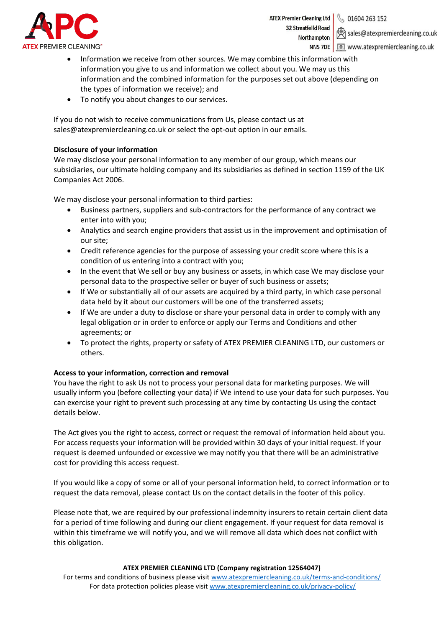

**ATEX Premier Cleaning Ltd** 01604 263 152 **32 Streatfeild Road** Northampton

sales@atexpremiercleaning.co.uk

NN5 7DE | I www.atexpremiercleaning.co.uk

- Information we receive from other sources. We may combine this information with information you give to us and information we collect about you. We may us this information and the combined information for the purposes set out above (depending on the types of information we receive); and
- To notify you about changes to our services.

If you do not wish to receive communications from Us, please contact us at sales@atexpremiercleaning.co.uk or select the opt-out option in our emails.

### **Disclosure of your information**

We may disclose your personal information to any member of our group, which means our subsidiaries, our ultimate holding company and its subsidiaries as defined in section 1159 of the UK Companies Act 2006.

We may disclose your personal information to third parties:

- Business partners, suppliers and sub-contractors for the performance of any contract we enter into with you;
- Analytics and search engine providers that assist us in the improvement and optimisation of our site;
- Credit reference agencies for the purpose of assessing your credit score where this is a condition of us entering into a contract with you;
- In the event that We sell or buy any business or assets, in which case We may disclose your personal data to the prospective seller or buyer of such business or assets;
- If We or substantially all of our assets are acquired by a third party, in which case personal data held by it about our customers will be one of the transferred assets;
- If We are under a duty to disclose or share your personal data in order to comply with any legal obligation or in order to enforce or apply our Terms and Conditions and other agreements; or
- To protect the rights, property or safety of ATEX PREMIER CLEANING LTD, our customers or others.

### **Access to your information, correction and removal**

You have the right to ask Us not to process your personal data for marketing purposes. We will usually inform you (before collecting your data) if We intend to use your data for such purposes. You can exercise your right to prevent such processing at any time by contacting Us using the contact details below.

The Act gives you the right to access, correct or request the removal of information held about you. For access requests your information will be provided within 30 days of your initial request. If your request is deemed unfounded or excessive we may notify you that there will be an administrative cost for providing this access request.

If you would like a copy of some or all of your personal information held, to correct information or to request the data removal, please contact Us on the contact details in the footer of this policy.

Please note that, we are required by our professional indemnity insurers to retain certain client data for a period of time following and during our client engagement. If your request for data removal is within this timeframe we will notify you, and we will remove all data which does not conflict with this obligation.

#### **ATEX PREMIER CLEANING LTD (Company registration 12564047)**